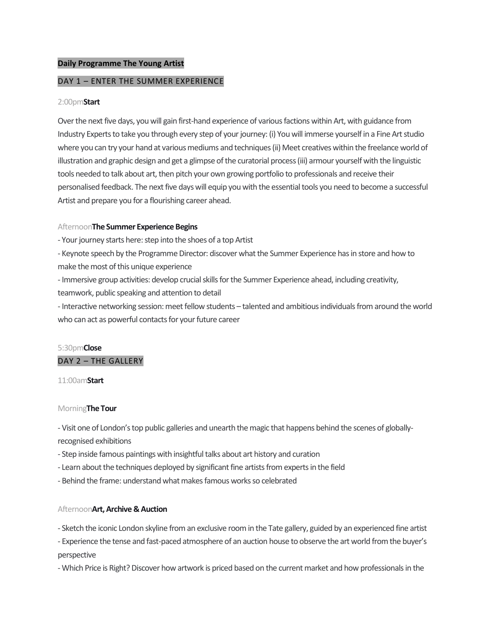## **Daily Programme The Young Artist**

## DAY 1 – ENTER THE SUMMER EXPERIENCE

### 2:00pm**Start**

Over the next five days, you will gain first-hand experience of various factions within Art, with guidance from Industry Experts to take you through every step of your journey: (i) You will immerse yourself in a Fine Art studio where you can try your hand at various mediums and techniques (ii) Meet creatives within the freelance world of illustration and graphic design and get a glimpse of the curatorial process (iii) armour yourself with the linguistic tools needed to talk about art, then pitch your own growing portfolio to professionals and receive their personalised feedback. The next five days will equip you with the essential tools you need to become a successful Artist and prepare you for a flourishing career ahead.

#### Afternoon**The Summer Experience Begins**

- Your journey starts here: step into the shoes of a top Artist

- Keynote speech by the Programme Director: discover what the Summer Experience has in store and how to make the most of this unique experience

- Immersive group activities: develop crucial skills for the Summer Experience ahead, including creativity,

teamwork, public speaking and attention to detail

- Interactive networking session: meet fellow students – talented and ambitious individuals from around the world who can act as powerful contacts for your future career

# 5:30pm**Close** DAY 2 – THE GALLERY

11:00am**Start**

## Morning**The Tour**

- Visit one of London's top public galleries and unearth the magic that happens behind the scenes of globallyrecognised exhibitions

- Step inside famous paintings with insightful talks about art history and curation
- Learn about the techniques deployed by significant fine artists from experts in the field
- Behind the frame: understand what makes famous works so celebrated

## Afternoon**Art, Archive & Auction**

- Sketch the iconic London skyline from an exclusive room in the Tate gallery, guided by an experienced fine artist

- Experience the tense and fast-paced atmosphere of an auction house to observe the art world from the buyer's perspective

- Which Price is Right? Discover how artwork is priced based on the current market and how professionals in the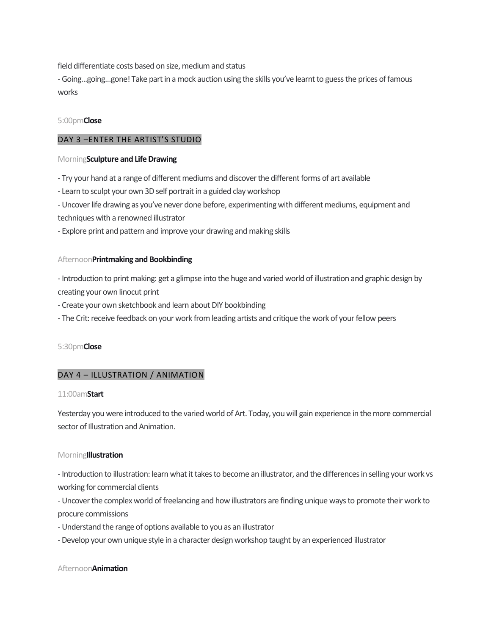field differentiate costs based on size, medium and status

- Going…going…gone! Take part in a mock auction using the skills you've learnt to guess the prices of famous works

## 5:00pm**Close**

## DAY 3 –ENTER THE ARTIST'S STUDIO

## Morning**Sculpture and Life Drawing**

- Try your hand at a range of different mediums and discover the different forms of art available

- Learn to sculpt your own 3D self portrait in a guided clay workshop

- Uncover life drawing as you've never done before, experimenting with different mediums, equipment and techniques with a renowned illustrator

- Explore print and pattern and improve your drawing and making skills

## Afternoon**Printmaking and Bookbinding**

- Introduction to print making: get a glimpse into the huge and varied world of illustration and graphic design by creating your own linocut print

- Create your own sketchbook and learn about DIY bookbinding

- The Crit: receive feedback on your work from leading artists and critique the work of your fellow peers

## 5:30pm**Close**

## DAY 4 – ILLUSTRATION / ANIMATION

## 11:00am**Start**

Yesterday you were introduced to the varied world of Art. Today, you will gain experience in the more commercial sector of Illustration and Animation.

## Morning**Illustration**

- Introduction to illustration: learn what it takes to become an illustrator, and the differences in selling your work vs working for commercial clients

- Uncover the complex world of freelancing and how illustrators are finding unique ways to promote their work to procure commissions

- Understand the range of options available to you as an illustrator

-Develop your own unique style in a character design workshop taught by an experienced illustrator

## Afternoon**Animation**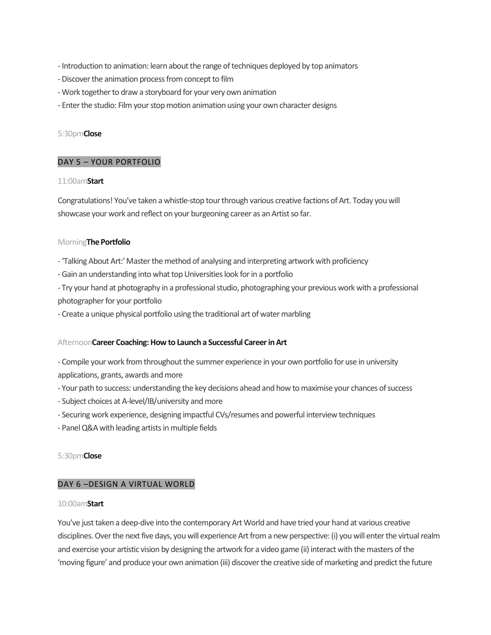- Introduction to animation: learn about the range of techniques deployed by top animators
- -Discover the animation process from concept to film
- Work together to draw a storyboard for your very own animation
- Enter the studio: Film your stop motion animation using your own character designs

## 5:30pm**Close**

## DAY 5 – YOUR PORTFOLIO

## 11:00am**Start**

Congratulations! You've taken a whistle-stop tour through various creative factions of Art. Today you will showcase your work and reflect on your burgeoning career as an Artist so far.

## Morning**The Portfolio**

- 'Talking About Art:' Master the method of analysing and interpreting artwork with proficiency
- Gain an understanding into what top Universities look for in a portfolio
- Try your hand at photography in a professional studio, photographing your previous work with a professional photographer for your portfolio
- Create a unique physical portfolio using the traditional art of water marbling

## Afternoon**Career Coaching: How to Launch a Successful Career in Art**

- Compile your work from throughout the summer experience in your own portfolio for use in university applications, grants, awards and more
- Your path to success: understanding the key decisions ahead and how to maximise your chances of success
- Subject choices at A-level/IB/university and more
- Securing work experience, designing impactful CVs/resumes and powerful interview techniques
- Panel Q&A with leading artists in multiple fields

## 5:30pm**Close**

## DAY 6 –DESIGN A VIRTUAL WORLD

## 10:00am**Start**

You've just taken a deep-dive into the contemporary Art World and have tried your hand at various creative disciplines. Over the next five days, you will experience Art from a new perspective: (i) you will enter the virtual realm and exercise your artistic vision by designing the artwork for a video game (ii) interact with the masters of the 'moving figure' and produce your own animation (iii) discover the creative side of marketing and predict the future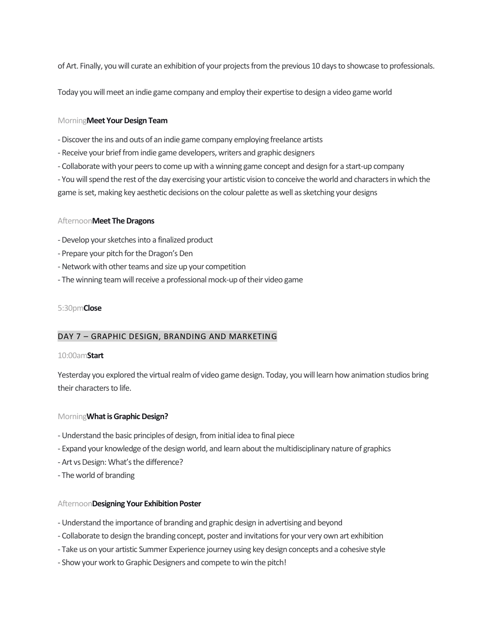of Art. Finally, you will curate an exhibition of your projects from the previous 10 days to showcase to professionals.

Today you will meet an indie game company and employ their expertise to design a video game world

#### Morning**Meet Your Design Team**

- -Discover the ins and outs of an indie game company employing freelance artists
- Receive your brief from indie game developers, writers and graphic designers
- Collaborate with your peers to come up with a winning game concept and design for a start-up company

- You will spend the rest of the day exercising your artistic vision to conceive the world and characters in which the game is set, making key aesthetic decisions on the colour palette as well as sketching your designs

#### Afternoon**Meet The Dragons**

- -Develop your sketches into a finalized product
- Prepare your pitch for the Dragon's Den
- -Network with other teams and size up your competition
- The winning team will receive a professional mock-up of their video game

#### 5:30pm**Close**

#### DAY 7 – GRAPHIC DESIGN, BRANDING AND MARKETING

#### 10:00am**Start**

Yesterday you explored the virtual realm of video game design. Today, you will learn how animation studios bring their characters to life.

#### Morning**What is Graphic Design?**

- Understand the basic principles of design, from initial idea to final piece
- Expand your knowledge of the design world, and learn about the multidisciplinary nature of graphics
- Art vs Design: What's the difference?
- The world of branding

#### Afternoon**Designing Your Exhibition Poster**

- Understand the importance of branding and graphic design in advertising and beyond
- Collaborate to design the branding concept, poster and invitations for your very own art exhibition
- Take us on your artistic Summer Experience journey using key design concepts and a cohesive style
- Show your work to Graphic Designers and compete to win the pitch!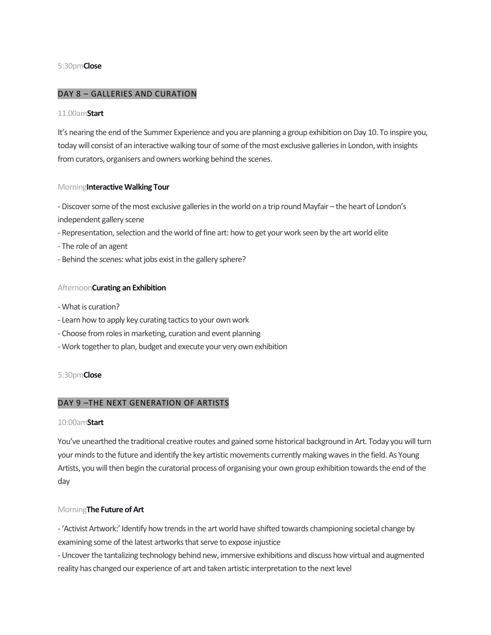## 5:30pm**Close**

## DAY 8 – GALLERIES AND CURATION

#### 11.00am**Start**

It's nearing the end of the Summer Experience and you are planning a group exhibition on Day 10. To inspire you, today will consist of an interactive walking tour of some of the most exclusive galleries in London, with insights from curators, organisers and owners working behind the scenes.

#### Morning**Interactive Walking Tour**

-Discover some of the most exclusive galleries in the world on a trip round Mayfair – the heart of London's independent gallery scene

- Representation, selection and the world of fine art: how to get your work seen by the art world elite
- The role of an agent
- Behind the scenes: what jobs exist in the gallery sphere?

## Afternoon**Curating an Exhibition**

- What is curation?
- Learn how to apply key curating tactics to your own work
- Choose from roles in marketing, curation and event planning
- Work together to plan, budget and execute your very own exhibition

## 5:30pm**Close**

## DAY 9 –THE NEXT GENERATION OF ARTISTS

#### 10:00am**Start**

You've unearthed the traditional creative routes and gained some historical background in Art. Today you will turn your minds to the future and identify the key artistic movements currently making waves in the field. As Young Artists, you will then begin the curatorial process of organising your own group exhibition towards the end of the day

## Morning**The Future of Art**

- 'Activist Artwork:' Identify how trends in the art world have shifted towards championing societal change by examining some of the latest artworks that serve to expose injustice

- Uncover the tantalizing technology behind new, immersive exhibitions and discuss how virtual and augmented reality has changed our experience of art and taken artistic interpretation to the next level